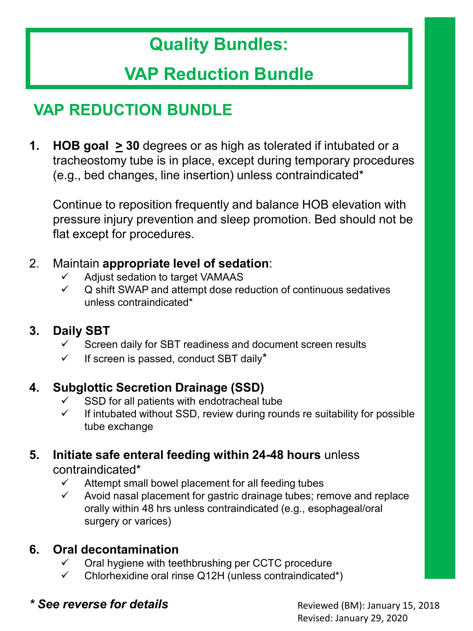## **Quality Bundles:**

# **VAP Reduction Bundle**

## **VAP REDUCTION BUNDLE**

**1. HOB goal > 30** degrees or as high as tolerated if intubated or a tracheostomy tube is in place, except during temporary procedures (e.g., bed changes, line insertion) unless contraindicated\*

Continue to reposition frequently and balance HOB elevation with pressure injury prevention and sleep promotion. Bed should not be flat except for procedures.

### 2. Maintain **appropriate level of sedation**:

- Adjust sedation to target VAMAAS
- $\checkmark$  Q shift SWAP and attempt dose reduction of continuous sedatives unless contraindicated\*

### **3. Daily SBT**

- Screen daily for SBT readiness and document screen results
- $\checkmark$  If screen is passed, conduct SBT daily\*

### **4. Subglottic Secretion Drainage (SSD)**

- SSD for all patients with endotracheal tube
- $\checkmark$  If intubated without SSD, review during rounds re suitability for possible tube exchange

### **5. Initiate safe enteral feeding within 24-48 hours** unless

#### contraindicated\*

- $\checkmark$  Attempt small bowel placement for all feeding tubes
- $\checkmark$  Avoid nasal placement for gastric drainage tubes; remove and replace orally within 48 hrs unless contraindicated (e.g., esophageal/oral surgery or varices)

### **6. Oral decontamination**

- Oral hygiene with teethbrushing per CCTC procedure
- Chlorhexidine oral rinse Q12H (unless contraindicated\*)

### \* See reverse for details **Reviewed (BM)**: January 15, 2018

Revised: January 29, 2020